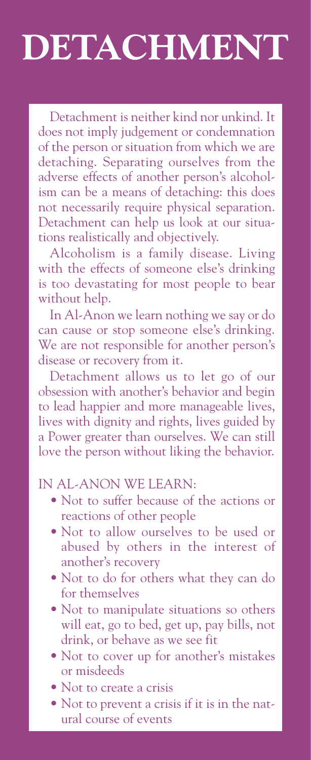## **DETACHMENT**

Detachment is neither kind nor unkind. It does not imply judgement or condemnation of the person or situation from which we are detaching. Separating ourselves from the adverse effects of another person's alcoholism can be a means of detaching: this does not necessarily require physical separation. Detachment can help us look at our situations realistically and objectively.

Alcoholism is a family disease. Living with the effects of someone else's drinking is too devastating for most people to bear without help.

In Al-Anon we learn nothing we say or do can cause or stop someone else's drinking. We are not responsible for another person's disease or recovery from it.

Detachment allows us to let go of our obsession with another's behavior and begin to lead happier and more manageable lives, lives with dignity and rights, lives guided by a Power greater than ourselves. We can still love the person without liking the behavior.

## IN AL-ANON WE LEARN:

- Not to suffer because of the actions or reactions of other people
- Not to allow ourselves to be used or abused by others in the interest of another's recovery
- Not to do for others what they can do for themselves
- Not to manipulate situations so others will eat, go to bed, get up, pay bills, not drink, or behave as we see fit
- Not to cover up for another's mistakes or misdeeds
- Not to create a crisis
- Not to prevent a crisis if it is in the natural course of events